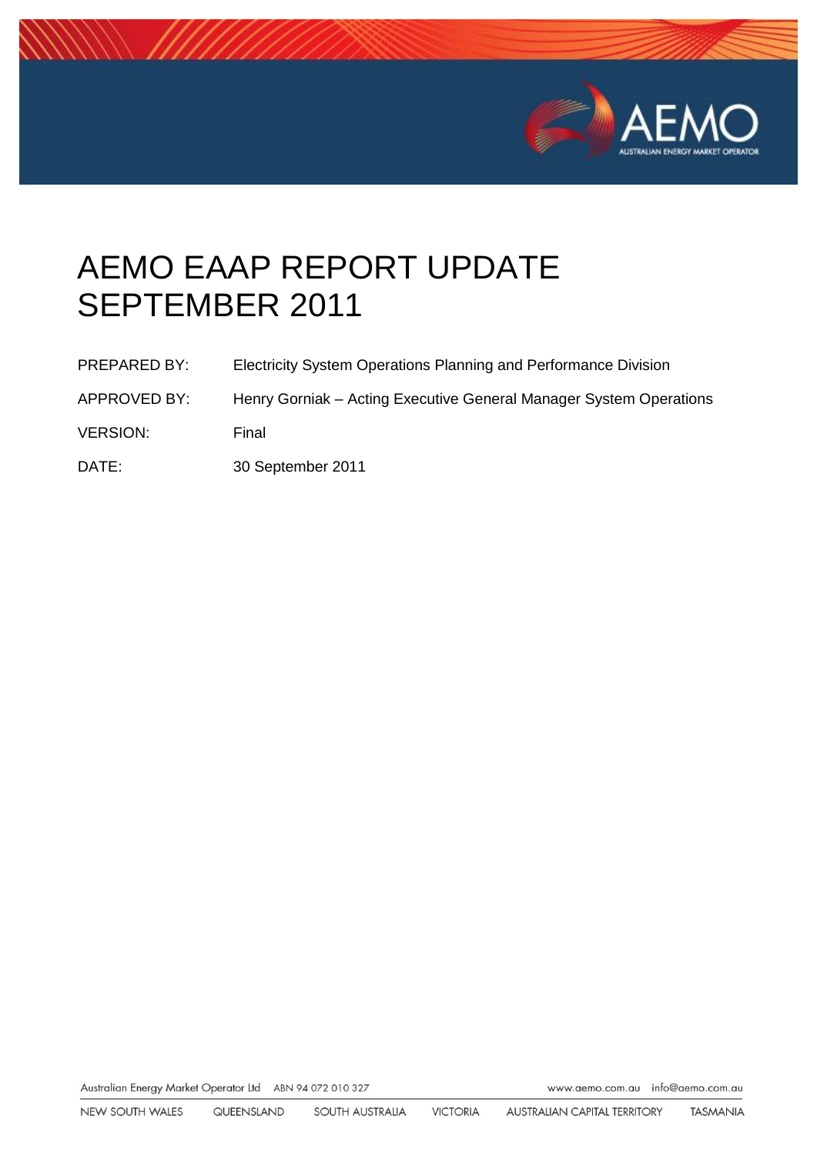

# AEMO EAAP REPORT UPDATE SEPTEMBER 2011

- APPROVED BY: Henry Gorniak Acting Executive General Manager System Operations
- VERSION: Final
- DATE: 30 September 2011

Australian Energy Market Operator Ltd ABN 94 072 010 327

www.aemo.com.au info@aemo.com.au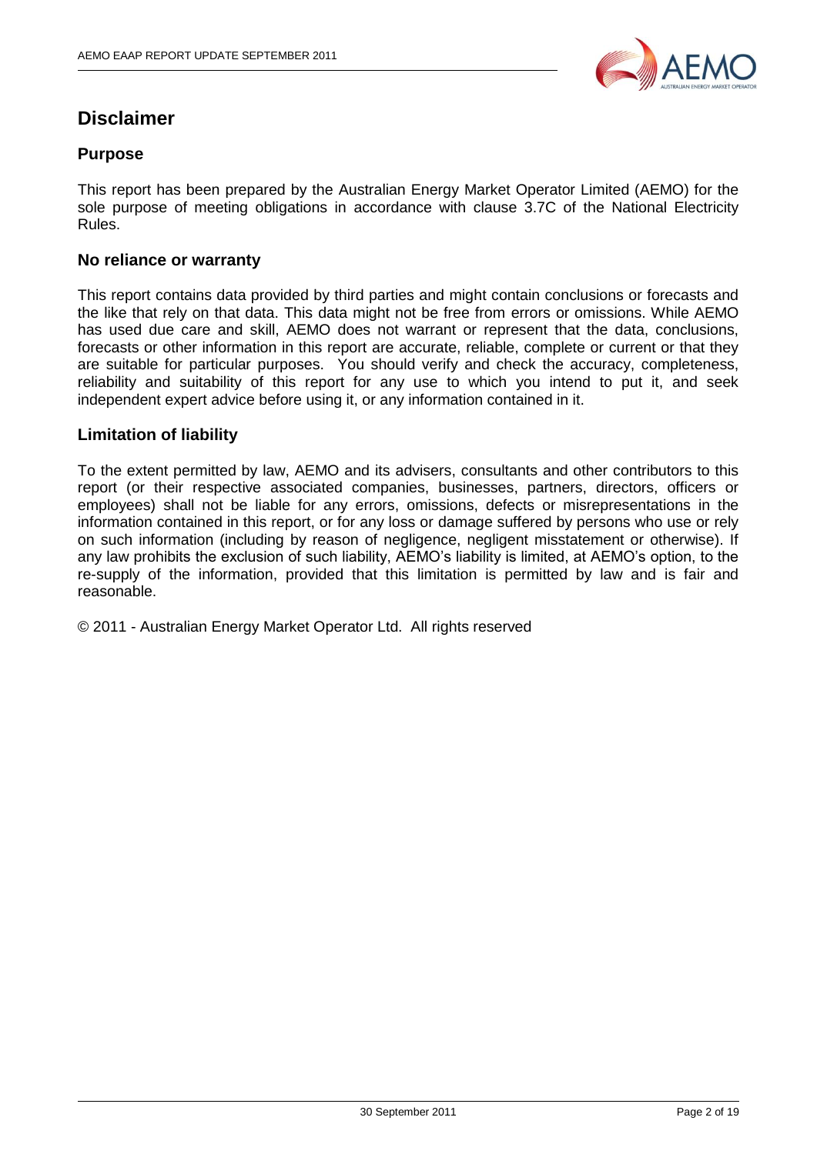

## **Disclaimer**

#### **Purpose**

This report has been prepared by the Australian Energy Market Operator Limited (AEMO) for the sole purpose of meeting obligations in accordance with clause 3.7C of the National Electricity Rules.

#### **No reliance or warranty**

This report contains data provided by third parties and might contain conclusions or forecasts and the like that rely on that data. This data might not be free from errors or omissions. While AEMO has used due care and skill, AEMO does not warrant or represent that the data, conclusions, forecasts or other information in this report are accurate, reliable, complete or current or that they are suitable for particular purposes. You should verify and check the accuracy, completeness, reliability and suitability of this report for any use to which you intend to put it, and seek independent expert advice before using it, or any information contained in it.

#### **Limitation of liability**

To the extent permitted by law, AEMO and its advisers, consultants and other contributors to this report (or their respective associated companies, businesses, partners, directors, officers or employees) shall not be liable for any errors, omissions, defects or misrepresentations in the information contained in this report, or for any loss or damage suffered by persons who use or rely on such information (including by reason of negligence, negligent misstatement or otherwise). If any law prohibits the exclusion of such liability, AEMO"s liability is limited, at AEMO"s option, to the re-supply of the information, provided that this limitation is permitted by law and is fair and reasonable.

© 2011 - Australian Energy Market Operator Ltd. All rights reserved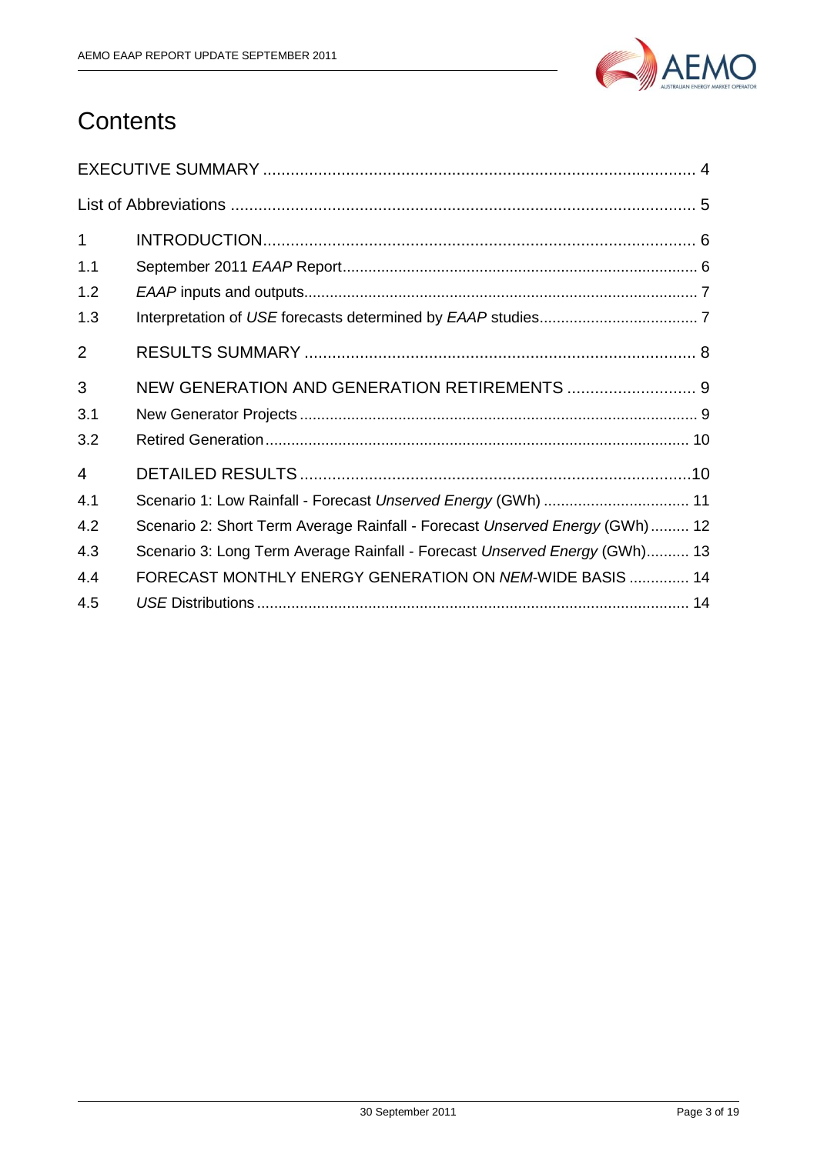

## **Contents**

| $\mathbf{1}$   |                                                                             |
|----------------|-----------------------------------------------------------------------------|
| 1.1            |                                                                             |
| 1.2            |                                                                             |
| 1.3            |                                                                             |
| $\overline{2}$ |                                                                             |
| 3              | NEW GENERATION AND GENERATION RETIREMENTS  9                                |
| 3.1            |                                                                             |
| 3.2            |                                                                             |
| $\overline{4}$ |                                                                             |
| 4.1            | Scenario 1: Low Rainfall - Forecast Unserved Energy (GWh)  11               |
| 4.2            | Scenario 2: Short Term Average Rainfall - Forecast Unserved Energy (GWh) 12 |
| 4.3            | Scenario 3: Long Term Average Rainfall - Forecast Unserved Energy (GWh) 13  |
| 4.4            | FORECAST MONTHLY ENERGY GENERATION ON NEM-WIDE BASIS  14                    |
| 4.5            |                                                                             |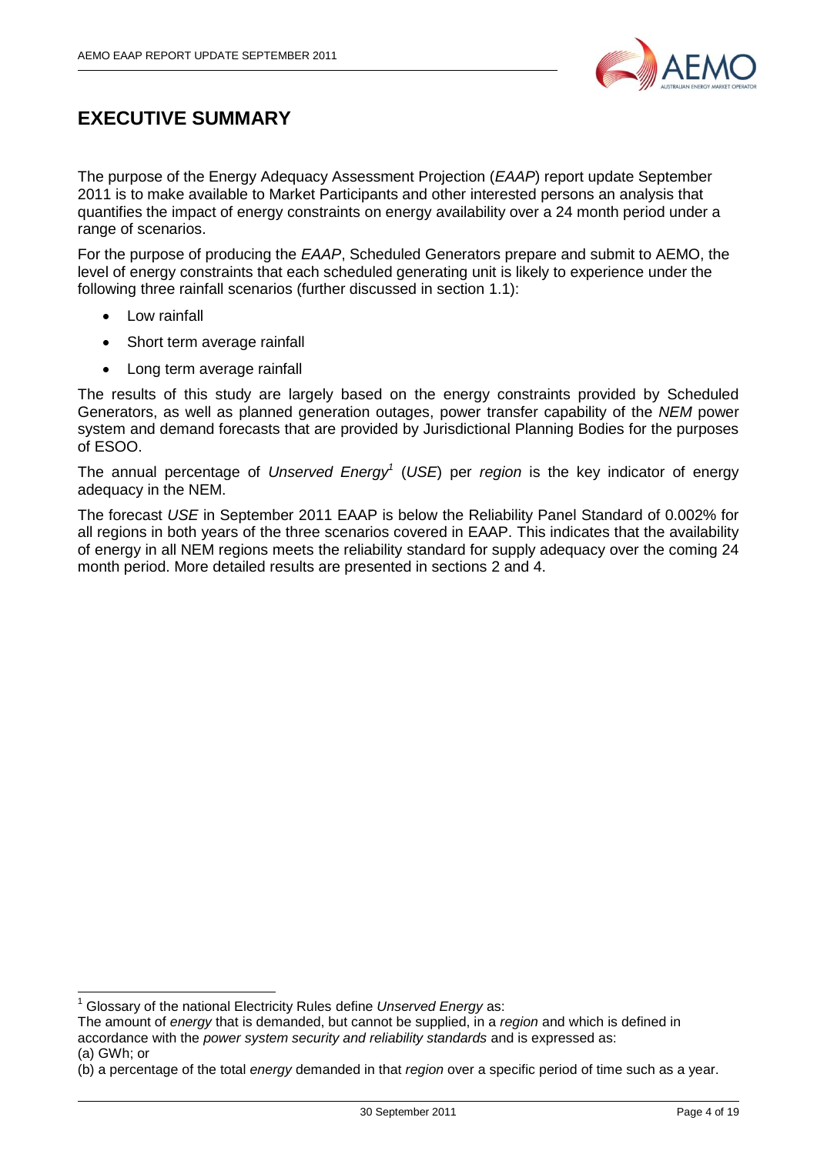

## <span id="page-3-0"></span>**EXECUTIVE SUMMARY**

The purpose of the Energy Adequacy Assessment Projection (*EAAP*) report update September 2011 is to make available to Market Participants and other interested persons an analysis that quantifies the impact of energy constraints on energy availability over a 24 month period under a range of scenarios.

For the purpose of producing the *EAAP*, Scheduled Generators prepare and submit to AEMO, the level of energy constraints that each scheduled generating unit is likely to experience under the following three rainfall scenarios (further discussed in section [1.1\)](#page-5-1):

• Low rainfall

 $\overline{\phantom{a}}$ 

- Short term average rainfall
- Long term average rainfall

The results of this study are largely based on the energy constraints provided by Scheduled Generators, as well as planned generation outages, power transfer capability of the *NEM* power system and demand forecasts that are provided by Jurisdictional Planning Bodies for the purposes of ESOO.

The annual percentage of *Unserved Energy<sup>1</sup>* (*USE*) per *region* is the key indicator of energy adequacy in the NEM.

The forecast *USE* in September 2011 EAAP is below the Reliability Panel Standard of 0.002% for all regions in both years of the three scenarios covered in EAAP. This indicates that the availability of energy in all NEM regions meets the reliability standard for supply adequacy over the coming 24 month period. More detailed results are presented in sections [2](#page-7-0) and [4.](#page-9-1)

<sup>1</sup> Glossary of the national Electricity Rules define *Unserved Energy* as:

The amount of *energy* that is demanded, but cannot be supplied, in a *region* and which is defined in accordance with the *power system security and reliability standards* and is expressed as: (a) GWh; or

<sup>(</sup>b) a percentage of the total *energy* demanded in that *region* over a specific period of time such as a year.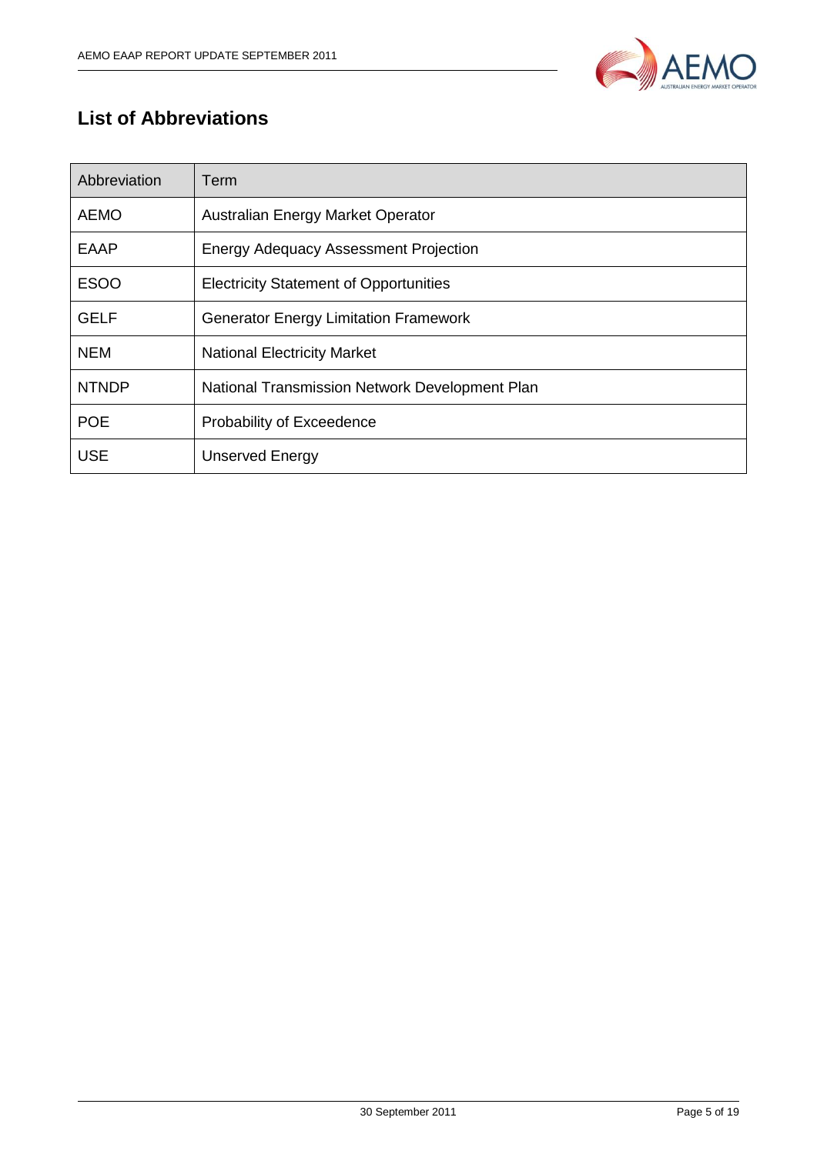

## <span id="page-4-0"></span>**List of Abbreviations**

| Abbreviation | Term                                           |
|--------------|------------------------------------------------|
| <b>AEMO</b>  | Australian Energy Market Operator              |
| <b>EAAP</b>  | <b>Energy Adequacy Assessment Projection</b>   |
| <b>ESOO</b>  | <b>Electricity Statement of Opportunities</b>  |
| <b>GELF</b>  | <b>Generator Energy Limitation Framework</b>   |
| <b>NEM</b>   | <b>National Electricity Market</b>             |
| <b>NTNDP</b> | National Transmission Network Development Plan |
| <b>POE</b>   | Probability of Exceedence                      |
| <b>USE</b>   | <b>Unserved Energy</b>                         |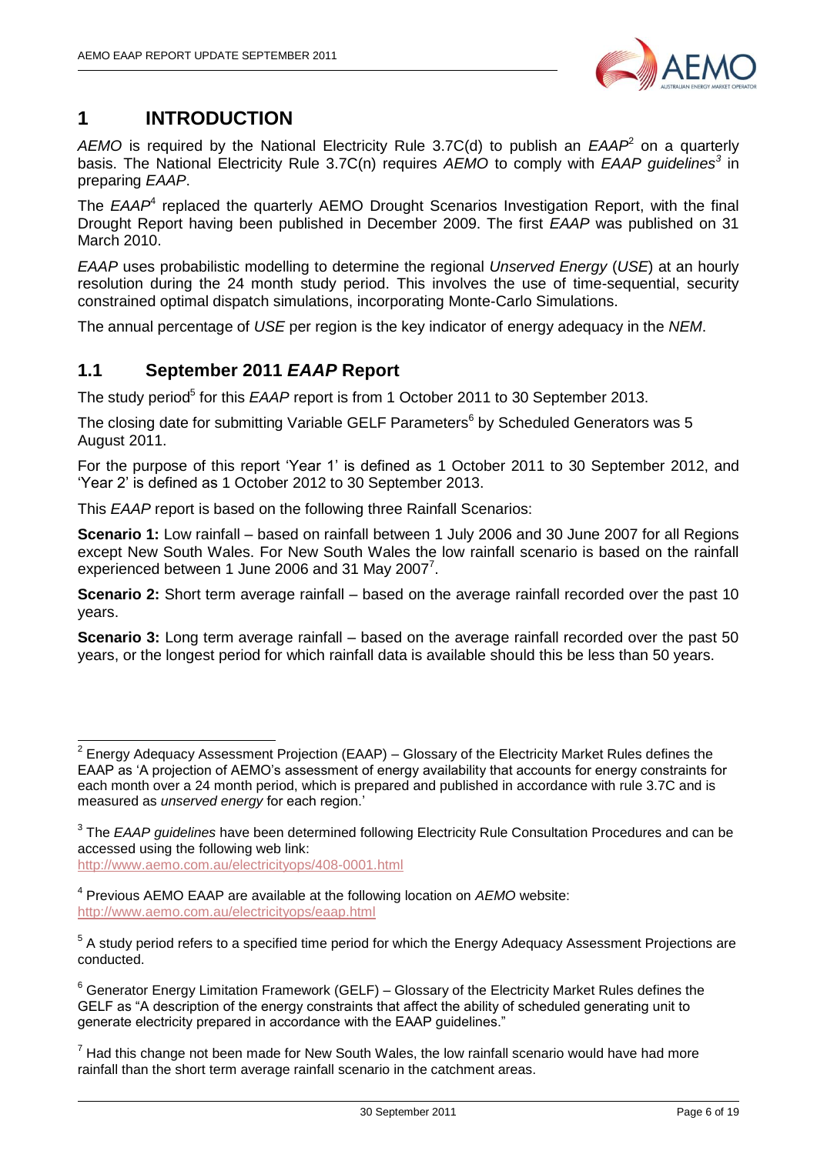

## <span id="page-5-0"></span>**1 INTRODUCTION**

AEMO is required by the National Electricity Rule 3.7C(d) to publish an *EAAP*<sup>2</sup> on a quarterly basis. The National Electricity Rule 3.7C(n) requires *AEMO* to comply with *EAAP guidelines<sup>3</sup>* in preparing *EAAP*.

The *EAAP*<sup>4</sup> replaced the quarterly AEMO Drought Scenarios Investigation Report, with the final Drought Report having been published in December 2009. The first *EAAP* was published on 31 March 2010.

*EAAP* uses probabilistic modelling to determine the regional *Unserved Energy* (*USE*) at an hourly resolution during the 24 month study period. This involves the use of time-sequential, security constrained optimal dispatch simulations, incorporating Monte-Carlo Simulations.

The annual percentage of *USE* per region is the key indicator of energy adequacy in the *NEM*.

## <span id="page-5-1"></span>**1.1 September 2011** *EAAP* **Report**

The study period<sup>5</sup> for this *EAAP* report is from 1 October 2011 to 30 September 2013.

The closing date for submitting Variable GELF Parameters<sup>6</sup> by Scheduled Generators was 5 August 2011.

For the purpose of this report "Year 1" is defined as 1 October 2011 to 30 September 2012, and "Year 2" is defined as 1 October 2012 to 30 September 2013.

This *EAAP* report is based on the following three Rainfall Scenarios:

**Scenario 1:** Low rainfall – based on rainfall between 1 July 2006 and 30 June 2007 for all Regions except New South Wales. For New South Wales the low rainfall scenario is based on the rainfall experienced between 1 June 2006 and 31 May 2007 $^7$ .

**Scenario 2:** Short term average rainfall – based on the average rainfall recorded over the past 10 years.

**Scenario 3:** Long term average rainfall – based on the average rainfall recorded over the past 50 years, or the longest period for which rainfall data is available should this be less than 50 years.

<http://www.aemo.com.au/electricityops/408-0001.html>

\_\_\_\_\_\_\_\_\_\_\_\_\_\_\_\_\_\_\_\_\_\_\_\_\_\_\_\_\_\_\_\_\_<br><sup>2</sup> Energy Adequacy Assessment Projection (EAAP) – Glossary of the Electricity Market Rules defines the EAAP as "A projection of AEMO"s assessment of energy availability that accounts for energy constraints for each month over a 24 month period, which is prepared and published in accordance with rule 3.7C and is measured as *unserved energy* for each region."

<sup>3</sup> The *EAAP guidelines* have been determined following Electricity Rule Consultation Procedures and can be accessed using the following web link:

<sup>4</sup> Previous AEMO EAAP are available at the following location on *AEMO* website: <http://www.aemo.com.au/electricityops/eaap.html>

<sup>&</sup>lt;sup>5</sup> A study period refers to a specified time period for which the Energy Adequacy Assessment Projections are conducted.

 $6$  Generator Energy Limitation Framework (GELF) – Glossary of the Electricity Market Rules defines the GELF as "A description of the energy constraints that affect the ability of scheduled generating unit to generate electricity prepared in accordance with the EAAP guidelines."

 $7$  Had this change not been made for New South Wales, the low rainfall scenario would have had more rainfall than the short term average rainfall scenario in the catchment areas.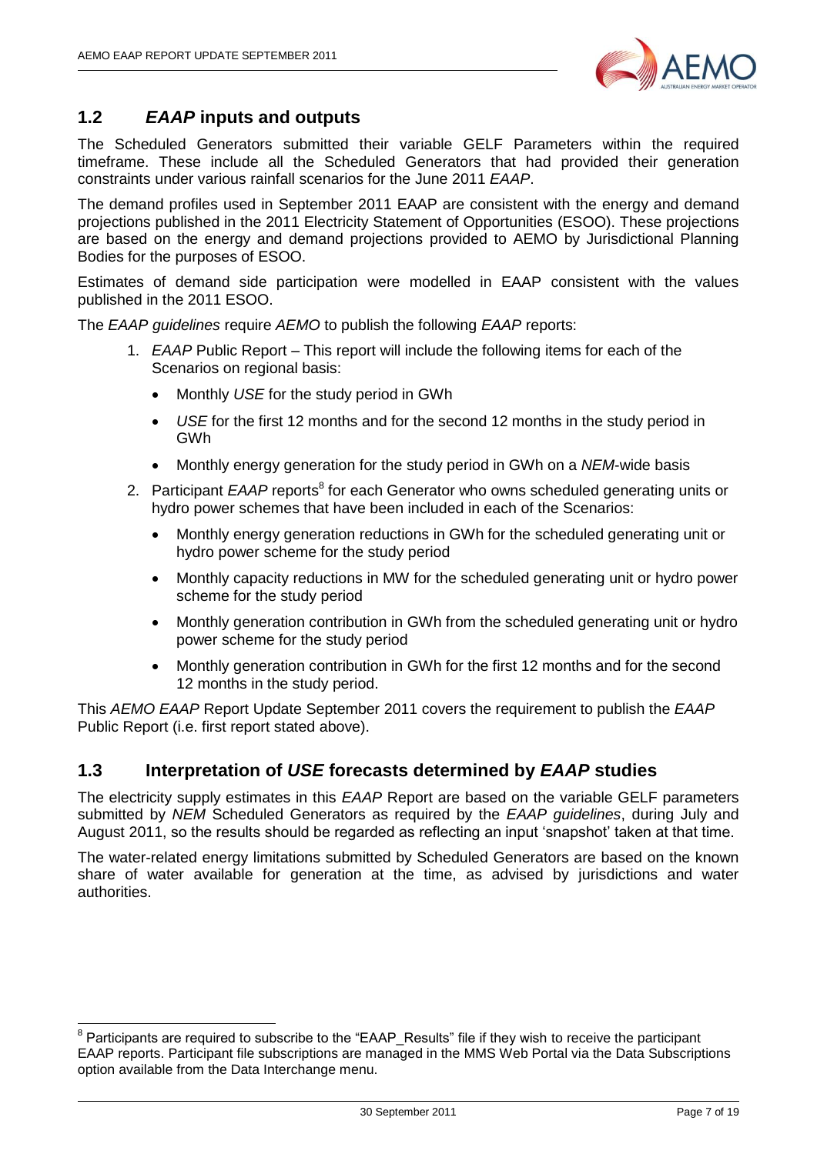

### <span id="page-6-0"></span>**1.2** *EAAP* **inputs and outputs**

The Scheduled Generators submitted their variable GELF Parameters within the required timeframe. These include all the Scheduled Generators that had provided their generation constraints under various rainfall scenarios for the June 2011 *EAAP*.

The demand profiles used in September 2011 EAAP are consistent with the energy and demand projections published in the 2011 Electricity Statement of Opportunities (ESOO). These projections are based on the energy and demand projections provided to AEMO by Jurisdictional Planning Bodies for the purposes of ESOO.

Estimates of demand side participation were modelled in EAAP consistent with the values published in the 2011 ESOO.

The *EAAP guidelines* require *AEMO* to publish the following *EAAP* reports:

- 1. *EAAP* Public Report This report will include the following items for each of the Scenarios on regional basis:
	- Monthly *USE* for the study period in GWh
	- *USE* for the first 12 months and for the second 12 months in the study period in GWh
	- Monthly energy generation for the study period in GWh on a *NEM*-wide basis
- 2. Participant *EAAP* reports<sup>8</sup> for each Generator who owns scheduled generating units or hydro power schemes that have been included in each of the Scenarios:
	- Monthly energy generation reductions in GWh for the scheduled generating unit or hydro power scheme for the study period
	- Monthly capacity reductions in MW for the scheduled generating unit or hydro power scheme for the study period
	- Monthly generation contribution in GWh from the scheduled generating unit or hydro power scheme for the study period
	- Monthly generation contribution in GWh for the first 12 months and for the second 12 months in the study period.

This *AEMO EAAP* Report Update September 2011 covers the requirement to publish the *EAAP* Public Report (i.e. first report stated above).

#### <span id="page-6-1"></span>**1.3 Interpretation of** *USE* **forecasts determined by** *EAAP* **studies**

The electricity supply estimates in this *EAAP* Report are based on the variable GELF parameters submitted by *NEM* Scheduled Generators as required by the *EAAP guidelines*, during July and August 2011, so the results should be regarded as reflecting an input "snapshot" taken at that time.

The water-related energy limitations submitted by Scheduled Generators are based on the known share of water available for generation at the time, as advised by jurisdictions and water authorities.

<sup>————————————————————&</sup>lt;br><sup>8</sup> Participants are required to subscribe to the "EAAP\_Results" file if they wish to receive the participant EAAP reports. Participant file subscriptions are managed in the MMS Web Portal via the Data Subscriptions option available from the Data Interchange menu.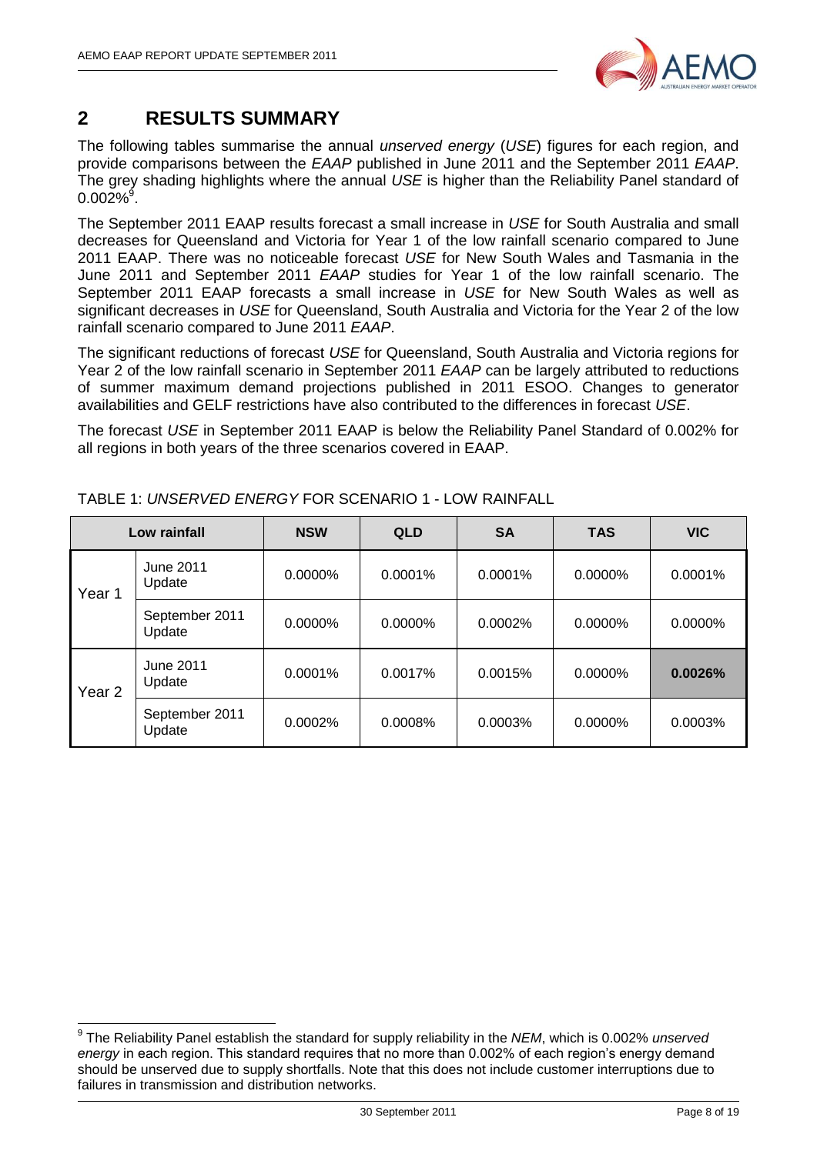

## <span id="page-7-0"></span>**2 RESULTS SUMMARY**

The following tables summarise the annual *unserved energy* (*USE*) figures for each region, and provide comparisons between the *EAAP* published in June 2011 and the September 2011 *EAAP*. The grey shading highlights where the annual *USE* is higher than the Reliability Panel standard of  $0.002\%$ <sup>9</sup>.

The September 2011 EAAP results forecast a small increase in *USE* for South Australia and small decreases for Queensland and Victoria for Year 1 of the low rainfall scenario compared to June 2011 EAAP. There was no noticeable forecast *USE* for New South Wales and Tasmania in the June 2011 and September 2011 *EAAP* studies for Year 1 of the low rainfall scenario. The September 2011 EAAP forecasts a small increase in *USE* for New South Wales as well as significant decreases in *USE* for Queensland, South Australia and Victoria for the Year 2 of the low rainfall scenario compared to June 2011 *EAAP*.

The significant reductions of forecast *USE* for Queensland, South Australia and Victoria regions for Year 2 of the low rainfall scenario in September 2011 *EAAP* can be largely attributed to reductions of summer maximum demand projections published in 2011 ESOO. Changes to generator availabilities and GELF restrictions have also contributed to the differences in forecast *USE*.

The forecast *USE* in September 2011 EAAP is below the Reliability Panel Standard of 0.002% for all regions in both years of the three scenarios covered in EAAP.

|                   | Low rainfall               | <b>NSW</b> | <b>QLD</b> | <b>SA</b> | <b>TAS</b> | <b>VIC</b> |
|-------------------|----------------------------|------------|------------|-----------|------------|------------|
| Year 1            | June 2011<br>Update        | 0.0000%    | $0.0001\%$ | 0.0001%   | 0.0000%    | 0.0001%    |
|                   | September 2011<br>Update   | 0.0000%    | 0.0000%    | 0.0002%   | 0.0000%    | 0.0000%    |
| Year <sub>2</sub> | <b>June 2011</b><br>Update | 0.0001%    | 0.0017%    | 0.0015%   | 0.0000%    | 0.0026%    |
|                   | September 2011<br>Update   | 0.0002%    | 0.0008%    | 0.0003%   | 0.0000%    | 0.0003%    |

TABLE 1: *UNSERVED ENERGY* FOR SCENARIO 1 - LOW RAINFALL

 9 The Reliability Panel establish the standard for supply reliability in the *NEM*, which is 0.002% *unserved energy* in each region. This standard requires that no more than 0.002% of each region"s energy demand should be unserved due to supply shortfalls. Note that this does not include customer interruptions due to failures in transmission and distribution networks.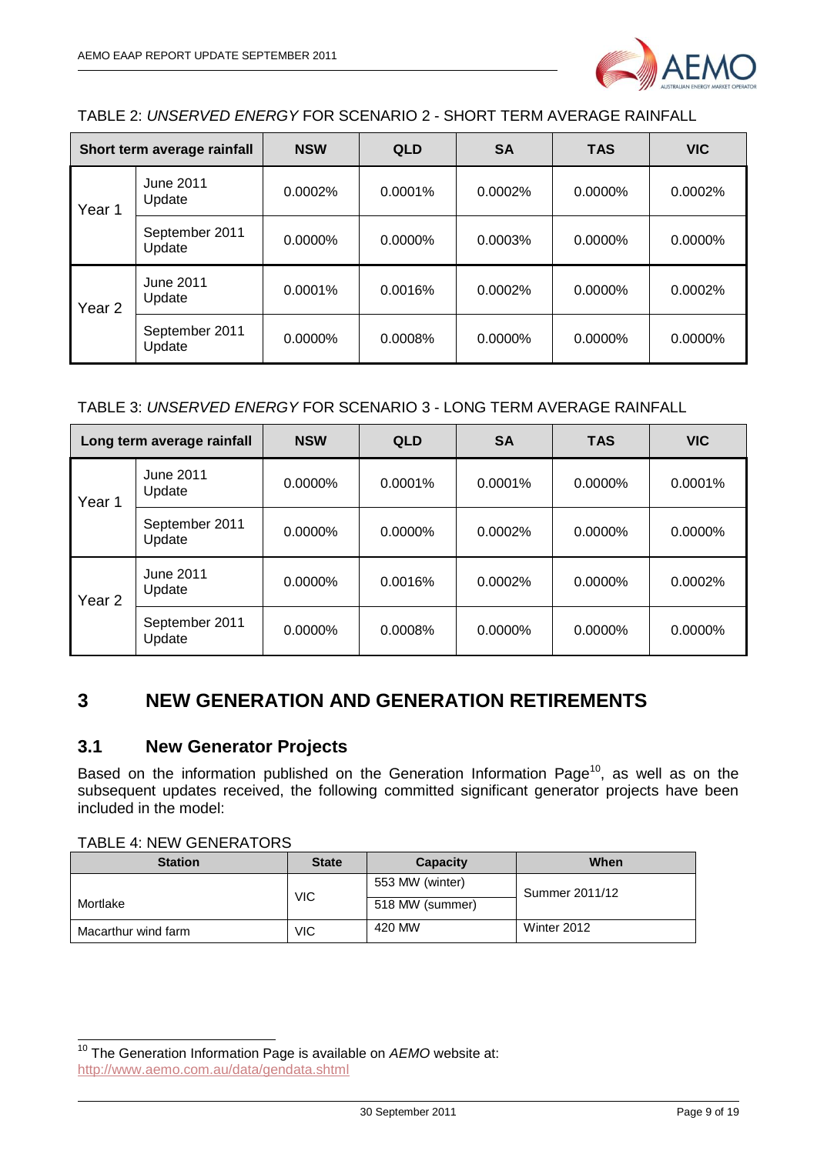

TABLE 2: *UNSERVED ENERGY* FOR SCENARIO 2 - SHORT TERM AVERAGE RAINFALL

| Short term average rainfall |                            | <b>NSW</b> | <b>QLD</b> | <b>SA</b> | <b>TAS</b> | <b>VIC</b> |
|-----------------------------|----------------------------|------------|------------|-----------|------------|------------|
| Year 1                      | <b>June 2011</b><br>Update | 0.0002%    | $0.0001\%$ | 0.0002%   | 0.0000%    | 0.0002%    |
|                             | September 2011<br>Update   | $0.0000\%$ | $0.0000\%$ | 0.0003%   | $0.0000\%$ | $0.0000\%$ |
| Year 2                      | <b>June 2011</b><br>Update | $0.0001\%$ | 0.0016%    | 0.0002%   | $0.0000\%$ | 0.0002%    |
|                             | September 2011<br>Update   | 0.0000%    | 0.0008%    | 0.0000%   | 0.0000%    | 0.0000%    |

#### TABLE 3: *UNSERVED ENERGY* FOR SCENARIO 3 - LONG TERM AVERAGE RAINFALL

|                   | Long term average rainfall | <b>NSW</b> | <b>QLD</b> | <b>SA</b> | <b>TAS</b> | <b>VIC</b> |
|-------------------|----------------------------|------------|------------|-----------|------------|------------|
| Year 1            | June 2011<br>Update        | 0.0000%    | 0.0001%    | 0.0001%   | 0.0000%    | 0.0001%    |
|                   | September 2011<br>Update   | $0.0000\%$ | $0.0000\%$ | 0.0002%   | $0.0000\%$ | 0.0000%    |
| Year <sub>2</sub> | June 2011<br>Update        | $0.0000\%$ | 0.0016%    | 0.0002%   | 0.0000%    | 0.0002%    |
|                   | September 2011<br>Update   | 0.0000%    | 0.0008%    | 0.0000%   | 0.0000%    | 0.0000%    |

## <span id="page-8-0"></span>**3 NEW GENERATION AND GENERATION RETIREMENTS**

#### <span id="page-8-1"></span>**3.1 New Generator Projects**

Based on the information published on the Generation Information Page<sup>10</sup>, as well as on the subsequent updates received, the following committed significant generator projects have been included in the model:

TABLE 4: NEW GENERATORS

 $\overline{\phantom{a}}$ 

| <b>Station</b>      | <b>State</b> | Capacity        | When           |
|---------------------|--------------|-----------------|----------------|
|                     | <b>VIC</b>   | 553 MW (winter) | Summer 2011/12 |
| Mortlake            |              | 518 MW (summer) |                |
| Macarthur wind farm | <b>VIC</b>   | 420 MW          | Winter 2012    |

<sup>&</sup>lt;sup>10</sup> The Generation Information Page is available on *AEMO* website at: <http://www.aemo.com.au/data/gendata.shtml>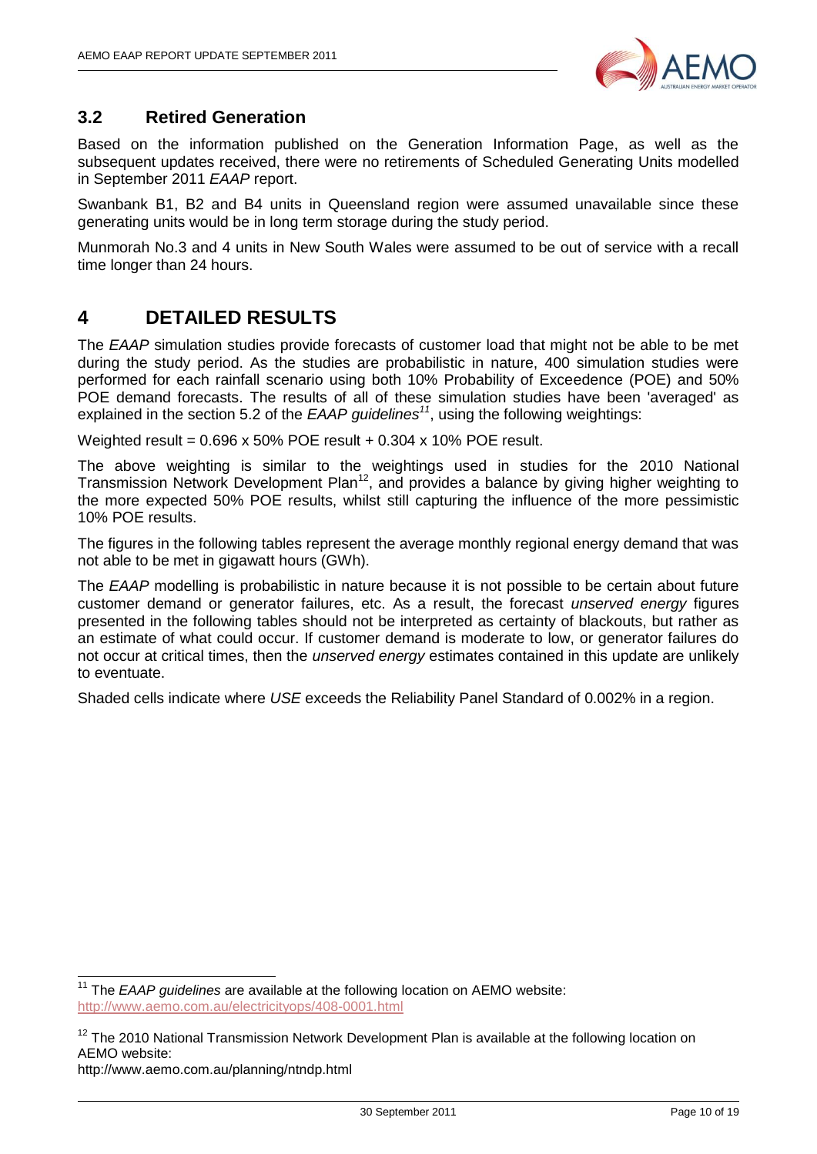

#### <span id="page-9-0"></span>**3.2 Retired Generation**

Based on the information published on the Generation Information Page, as well as the subsequent updates received, there were no retirements of Scheduled Generating Units modelled in September 2011 *EAAP* report.

Swanbank B1, B2 and B4 units in Queensland region were assumed unavailable since these generating units would be in long term storage during the study period.

Munmorah No.3 and 4 units in New South Wales were assumed to be out of service with a recall time longer than 24 hours.

## <span id="page-9-1"></span>**4 DETAILED RESULTS**

The *EAAP* simulation studies provide forecasts of customer load that might not be able to be met during the study period. As the studies are probabilistic in nature, 400 simulation studies were performed for each rainfall scenario using both 10% Probability of Exceedence (POE) and 50% POE demand forecasts. The results of all of these simulation studies have been 'averaged' as explained in the section 5.2 of the *EAAP guidelines<sup>11</sup>*, using the following weightings:

Weighted result = 0.696 x 50% POE result + 0.304 x 10% POE result.

The above weighting is similar to the weightings used in studies for the 2010 National Transmission Network Development Plan<sup>12</sup>, and provides a balance by giving higher weighting to the more expected 50% POE results, whilst still capturing the influence of the more pessimistic 10% POE results.

The figures in the following tables represent the average monthly regional energy demand that was not able to be met in gigawatt hours (GWh).

The *EAAP* modelling is probabilistic in nature because it is not possible to be certain about future customer demand or generator failures, etc. As a result, the forecast *unserved energy* figures presented in the following tables should not be interpreted as certainty of blackouts, but rather as an estimate of what could occur. If customer demand is moderate to low, or generator failures do not occur at critical times, then the *unserved energy* estimates contained in this update are unlikely to eventuate.

Shaded cells indicate where *USE* exceeds the Reliability Panel Standard of 0.002% in a region.

-

<sup>&</sup>lt;sup>11</sup> The *EAAP guidelines* are available at the following location on AEMO website: <http://www.aemo.com.au/electricityops/408-0001.html>

 $12$  The 2010 National Transmission Network Development Plan is available at the following location on AEMO website:

http://www.aemo.com.au/planning/ntndp.html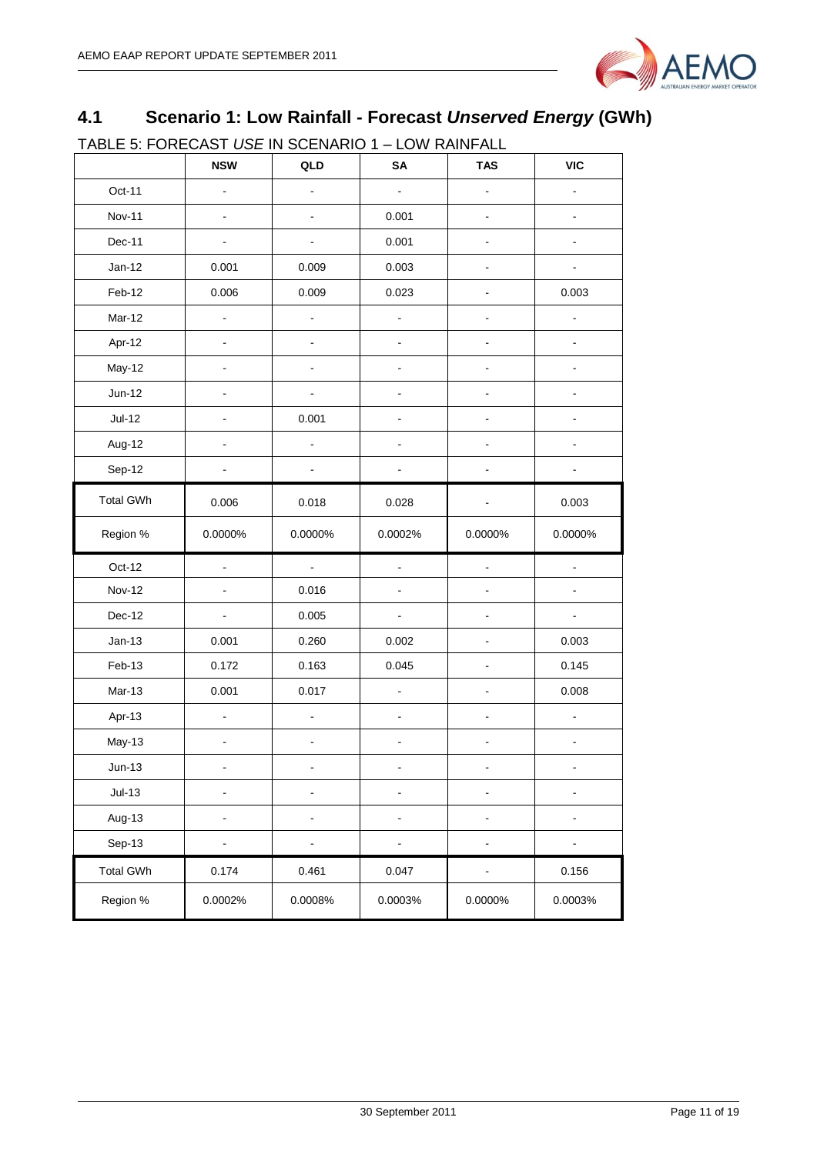

## <span id="page-10-0"></span>**4.1 Scenario 1: Low Rainfall - Forecast** *Unserved Energy* **(GWh)**

TABLE 5: FORECAST *USE* IN SCENARIO 1 – LOW RAINFALL

|                  | <b>NSW</b>               | QLD                      | SA                       | <b>TAS</b>                   | <b>VIC</b>     |
|------------------|--------------------------|--------------------------|--------------------------|------------------------------|----------------|
| Oct-11           | $\blacksquare$           |                          | ÷.                       |                              |                |
| <b>Nov-11</b>    | $\blacksquare$           | $\blacksquare$           | 0.001                    | $\blacksquare$               | ä,             |
| Dec-11           |                          |                          | 0.001                    |                              |                |
| $Jan-12$         | 0.001                    | 0.009                    | 0.003                    | ۰                            |                |
| Feb-12           | 0.006                    | 0.009                    | 0.023                    |                              | 0.003          |
| Mar-12           | $\blacksquare$           | -                        | $\frac{1}{2}$            | ۰                            |                |
| Apr-12           | $\blacksquare$           |                          | $\blacksquare$           |                              |                |
| May-12           | $\blacksquare$           |                          | ÷                        | ٠                            |                |
| $Jun-12$         |                          |                          |                          |                              |                |
| $Jul-12$         | $\overline{a}$           | 0.001                    |                          | $\overline{a}$               |                |
| Aug-12           |                          |                          |                          |                              |                |
| Sep-12           |                          |                          |                          |                              |                |
| <b>Total GWh</b> | 0.006                    | 0.018                    | 0.028                    |                              | 0.003          |
| Region %         | 0.0000%                  | 0.0000%                  | 0.0002%                  | 0.0000%                      | 0.0000%        |
| Oct-12           | $\blacksquare$           | $\blacksquare$           | $\blacksquare$           | $\blacksquare$               |                |
| <b>Nov-12</b>    | $\overline{\phantom{a}}$ | 0.016                    |                          |                              |                |
| Dec-12           | $\blacksquare$           | 0.005                    | $\blacksquare$           | $\overline{a}$               | $\overline{a}$ |
| $Jan-13$         | 0.001                    | 0.260                    | 0.002                    | $\overline{a}$               | 0.003          |
| Feb-13           | 0.172                    | 0.163                    | 0.045                    |                              | 0.145          |
| $Mar-13$         | 0.001                    | 0.017                    | L.                       |                              | 0.008          |
| Apr-13           | $\blacksquare$           | ÷,                       |                          |                              | ÷              |
| May-13           | $\blacksquare$           | $\overline{\phantom{0}}$ | $\overline{\phantom{a}}$ | $\blacksquare$               | $\blacksquare$ |
| Jun-13           |                          |                          |                          |                              |                |
| $Jul-13$         | -                        |                          | ÷                        | $\blacksquare$               |                |
| Aug-13           | $\overline{\phantom{0}}$ | -                        | ÷                        | ۰                            |                |
| Sep-13           | $\blacksquare$           | $\overline{\phantom{0}}$ | $\blacksquare$           | $\qquad \qquad \blacksquare$ |                |
| <b>Total GWh</b> | 0.174                    | 0.461                    | 0.047                    |                              | 0.156          |
| Region %         | 0.0002%                  | 0.0008%                  | 0.0003%                  | 0.0000%                      | 0.0003%        |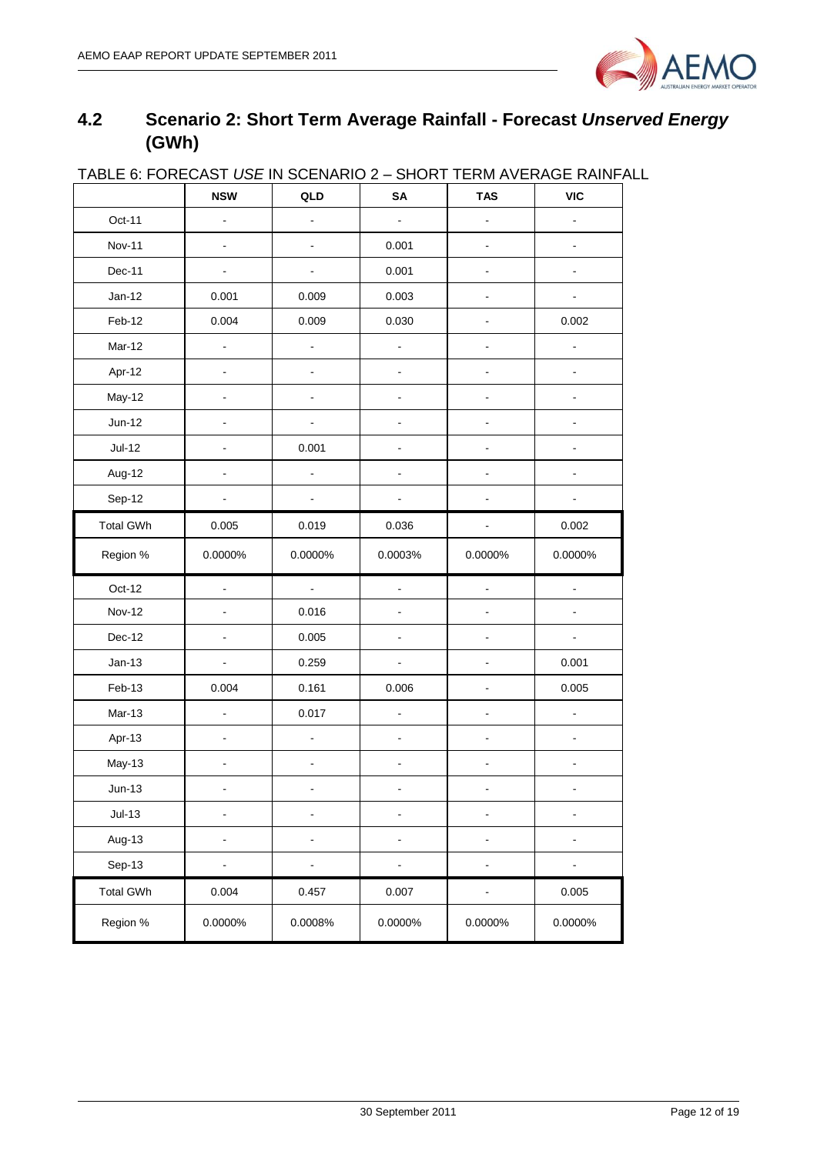

## <span id="page-11-0"></span>**4.2 Scenario 2: Short Term Average Rainfall - Forecast** *Unserved Energy* **(GWh)**

| <b>INDEE 0. I ONE ONOT OUR INTO</b> | <b>NSW</b>                   | <b>&gt; &gt; ੶</b> ੶ • • • • • •<br>QLD | ו יישו יש<br>SA          | <b>TAS</b>                   | $1$ LIVIT AV LIVIQ LIVID T<br><b>VIC</b> |
|-------------------------------------|------------------------------|-----------------------------------------|--------------------------|------------------------------|------------------------------------------|
| Oct-11                              | $\blacksquare$               | $\blacksquare$                          | $\blacksquare$           | ä,                           | ÷                                        |
| <b>Nov-11</b>                       | $\overline{\phantom{a}}$     | $\blacksquare$                          | 0.001                    | ÷,                           | ÷,                                       |
| Dec-11                              | $\blacksquare$               | $\blacksquare$                          | 0.001                    | $\frac{1}{2}$                | $\qquad \qquad \blacksquare$             |
| $Jan-12$                            | 0.001                        | 0.009                                   | 0.003                    | $\blacksquare$               | $\blacksquare$                           |
| Feb-12                              | 0.004                        | 0.009                                   | 0.030                    | $\frac{1}{2}$                | 0.002                                    |
| Mar-12                              | $\overline{a}$               | $\blacksquare$                          | $\blacksquare$           | $\frac{1}{2}$                | ÷,                                       |
| Apr-12                              | $\blacksquare$               | $\blacksquare$                          | ÷,                       | $\frac{1}{2}$                | ä,                                       |
| May-12                              | $\blacksquare$               | $\blacksquare$                          | $\blacksquare$           | ÷,                           | ÷,                                       |
| $Jun-12$                            | L,                           | $\blacksquare$                          | ÷,                       | $\frac{1}{2}$                | $\frac{1}{2}$                            |
| $Jul-12$                            |                              | 0.001                                   |                          |                              |                                          |
| Aug-12                              |                              | ä,                                      |                          |                              |                                          |
| Sep-12                              |                              | $\blacksquare$                          |                          | ä,                           |                                          |
| <b>Total GWh</b>                    | 0.005                        | 0.019                                   | 0.036                    | ۰                            | 0.002                                    |
| Region %                            | 0.0000%                      | 0.0000%                                 | 0.0003%                  | 0.0000%                      | 0.0000%                                  |
| Oct-12                              | $\overline{\phantom{a}}$     | ÷.                                      | $\overline{a}$           | ä,                           | ä,                                       |
| <b>Nov-12</b>                       |                              | 0.016                                   |                          |                              | ۰                                        |
| Dec-12                              | $\overline{a}$               | 0.005                                   |                          | $\blacksquare$               | $\blacksquare$                           |
| $Jan-13$                            | $\blacksquare$               | 0.259                                   | ä,                       |                              | 0.001                                    |
| Feb-13                              | 0.004                        | 0.161                                   | 0.006                    | ÷,                           | 0.005                                    |
| Mar-13                              | $\blacksquare$               | 0.017                                   | ÷,                       | ä,                           | L.                                       |
| Apr-13                              | $\qquad \qquad \blacksquare$ | $\blacksquare$                          | $\blacksquare$           | $\qquad \qquad \blacksquare$ | ÷,                                       |
| <b>May-13</b>                       |                              | $\overline{a}$                          |                          |                              |                                          |
| $Jun-13$                            |                              |                                         |                          |                              |                                          |
| $Jul-13$                            |                              | $\overline{\phantom{0}}$                |                          | -                            |                                          |
| Aug-13                              | $\overline{\phantom{0}}$     | $\blacksquare$                          | $\overline{\phantom{a}}$ | $\qquad \qquad \blacksquare$ | ۰                                        |
| Sep-13                              | -                            | $\qquad \qquad \blacksquare$            | ÷                        | $\overline{\phantom{0}}$     |                                          |
| <b>Total GWh</b>                    | 0.004                        | 0.457                                   | 0.007                    | ÷,                           | 0.005                                    |
| Region %                            | 0.0000%                      | 0.0008%                                 | 0.0000%                  | 0.0000%                      | 0.0000%                                  |

#### TABLE 6: FORECAST *USE* IN SCENARIO 2 – SHORT TERM AVERAGE RAINFALL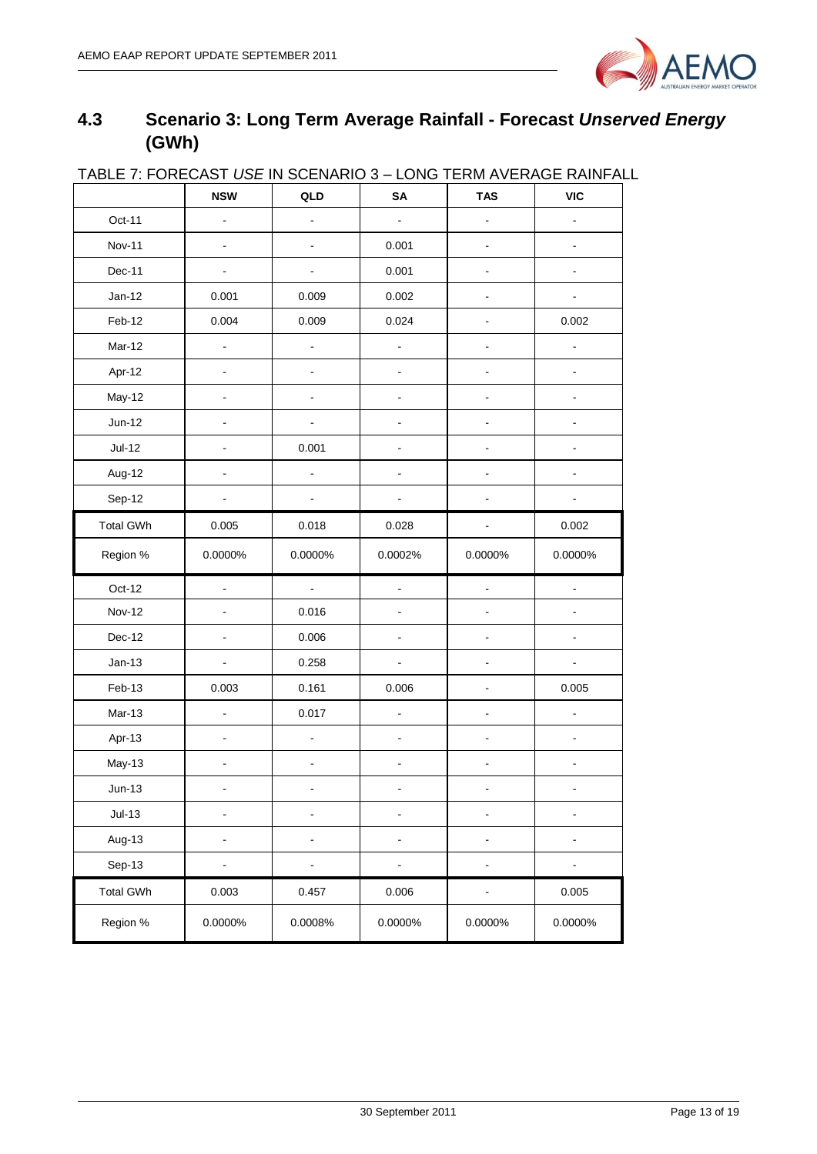

## <span id="page-12-0"></span>**4.3 Scenario 3: Long Term Average Rainfall - Forecast** *Unserved Energy* **(GWh)**

|                  |                          |                              |                          | <u>IADLE T. I UNLUAST OSE IN SULNANO S – LUNG TENIII AVENASE NAINI AL</u> |                |
|------------------|--------------------------|------------------------------|--------------------------|---------------------------------------------------------------------------|----------------|
|                  | <b>NSW</b>               | QLD                          | SA                       | <b>TAS</b>                                                                | <b>VIC</b>     |
| Oct-11           | $\blacksquare$           | ۰                            | $\blacksquare$           | $\blacksquare$                                                            | $\blacksquare$ |
| <b>Nov-11</b>    | $\blacksquare$           | $\qquad \qquad \blacksquare$ | 0.001                    | $\blacksquare$                                                            | $\blacksquare$ |
| Dec-11           | $\blacksquare$           | $\frac{1}{2}$                | 0.001                    | $\blacksquare$                                                            | $\blacksquare$ |
| $Jan-12$         | 0.001                    | 0.009                        | 0.002                    | $\blacksquare$                                                            | $\blacksquare$ |
| Feb-12           | 0.004                    | 0.009                        | 0.024                    | $\blacksquare$                                                            | 0.002          |
| Mar-12           | $\blacksquare$           | $\blacksquare$               | ÷,                       | $\blacksquare$                                                            | L.             |
| Apr-12           | $\blacksquare$           | $\overline{\phantom{0}}$     | ÷                        |                                                                           | ÷,             |
| May-12           |                          |                              |                          |                                                                           |                |
| Jun-12           |                          |                              |                          |                                                                           |                |
| $Jul-12$         |                          | 0.001                        |                          |                                                                           |                |
| Aug-12           |                          | ÷,                           | -                        |                                                                           |                |
| Sep-12           |                          | -                            |                          |                                                                           |                |
| <b>Total GWh</b> | 0.005                    | 0.018                        | 0.028                    | $\blacksquare$                                                            | 0.002          |
| Region %         | 0.0000%                  | 0.0000%                      | 0.0002%                  | 0.0000%                                                                   | 0.0000%        |
| Oct-12           | $\Box$                   | $\blacksquare$               |                          | $\blacksquare$                                                            | $\blacksquare$ |
| <b>Nov-12</b>    |                          | 0.016                        | ÷,                       | ÷.                                                                        | $\overline{a}$ |
| Dec-12           | $\blacksquare$           | 0.006                        | $\overline{\phantom{0}}$ | ٠                                                                         | ۰              |
| $Jan-13$         | $\blacksquare$           | 0.258                        | $\blacksquare$           | ä,                                                                        | ÷.             |
| Feb-13           | 0.003                    | 0.161                        | 0.006                    | $\blacksquare$                                                            | 0.005          |
| Mar-13           | $\overline{a}$           | 0.017                        | -                        |                                                                           |                |
| Apr-13           | $\blacksquare$           | $\frac{1}{2}$                | $\overline{\phantom{0}}$ | $\blacksquare$                                                            | $\blacksquare$ |
| May-13           |                          |                              |                          | $\overline{\phantom{a}}$                                                  |                |
| $Jun-13$         |                          |                              |                          |                                                                           |                |
| $Jul-13$         | $\overline{a}$           | -                            | -                        | $\blacksquare$                                                            | ÷,             |
| Aug-13           | $\overline{\phantom{a}}$ | $\qquad \qquad \blacksquare$ | ÷                        | $\blacksquare$                                                            | $\blacksquare$ |
| Sep-13           | $\overline{\phantom{a}}$ | ÷,                           |                          | $\blacksquare$                                                            | $\blacksquare$ |
| <b>Total GWh</b> | 0.003                    | 0.457                        | 0.006                    | $\qquad \qquad \blacksquare$                                              | 0.005          |
| Region %         | 0.0000%                  | 0.0008%                      | 0.0000%                  | 0.0000%                                                                   | 0.0000%        |

#### TABLE 7: FORECAST *USE* IN SCENARIO 3 – LONG TERM AVERAGE RAINFALL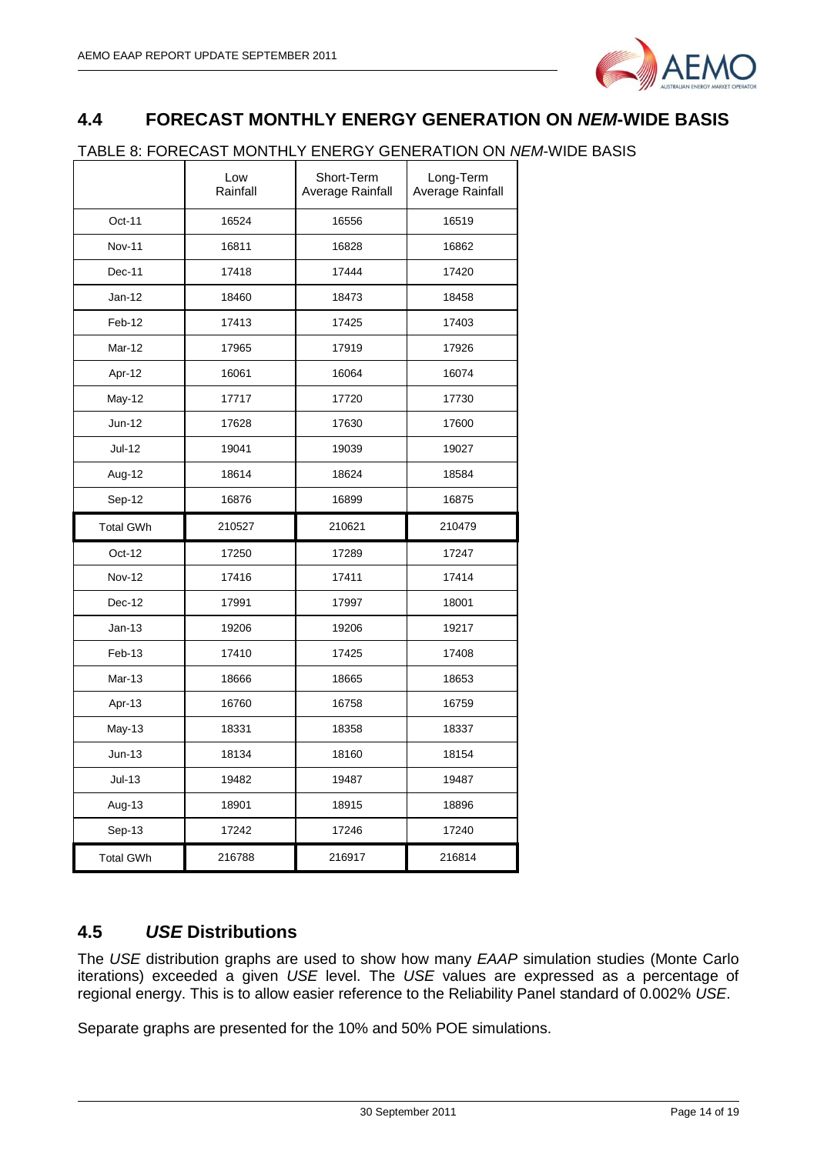

## <span id="page-13-0"></span>**4.4 FORECAST MONTHLY ENERGY GENERATION ON** *NEM***-WIDE BASIS**

#### TABLE 8: FORECAST MONTHLY ENERGY GENERATION ON *NEM*-WIDE BASIS

|                  | Low<br>Rainfall | Short-Term<br>Average Rainfall | Long-Term<br>Average Rainfall |
|------------------|-----------------|--------------------------------|-------------------------------|
| Oct-11           | 16524           | 16556                          | 16519                         |
| <b>Nov-11</b>    | 16811           | 16828                          | 16862                         |
| Dec-11           | 17418           | 17444                          | 17420                         |
| $Jan-12$         | 18460           | 18473                          | 18458                         |
| Feb-12           | 17413           | 17425                          | 17403                         |
| Mar-12           | 17965           | 17919                          | 17926                         |
| Apr-12           | 16061           | 16064                          | 16074                         |
| May-12           | 17717           | 17720                          | 17730                         |
| Jun-12           | 17628           | 17630                          | 17600                         |
| Jul-12           | 19041           | 19039                          | 19027                         |
| Aug-12           | 18614           | 18624                          | 18584                         |
| Sep-12           | 16876           | 16899                          | 16875                         |
| <b>Total GWh</b> | 210527          | 210621                         | 210479                        |
| Oct-12           | 17250           | 17289                          | 17247                         |
| <b>Nov-12</b>    | 17416           | 17411                          | 17414                         |
| $Dec-12$         | 17991           | 17997                          | 18001                         |
| $Jan-13$         | 19206           | 19206                          | 19217                         |
| Feb-13           | 17410           | 17425                          | 17408                         |
| Mar-13           | 18666           | 18665                          | 18653                         |
| Apr-13           | 16760           | 16758                          | 16759                         |
| <b>May-13</b>    | 18331           | 18358                          | 18337                         |
| $Jun-13$         | 18134           | 18160                          | 18154                         |
| $Jul-13$         |                 |                                |                               |
|                  | 19482           | 19487                          | 19487                         |
| Aug-13           | 18901           | 18915                          | 18896                         |
| Sep-13           | 17242           | 17246                          | 17240                         |

## <span id="page-13-1"></span>**4.5** *USE* **Distributions**

The *USE* distribution graphs are used to show how many *EAAP* simulation studies (Monte Carlo iterations) exceeded a given *USE* level. The *USE* values are expressed as a percentage of regional energy. This is to allow easier reference to the Reliability Panel standard of 0.002% *USE*.

Separate graphs are presented for the 10% and 50% POE simulations.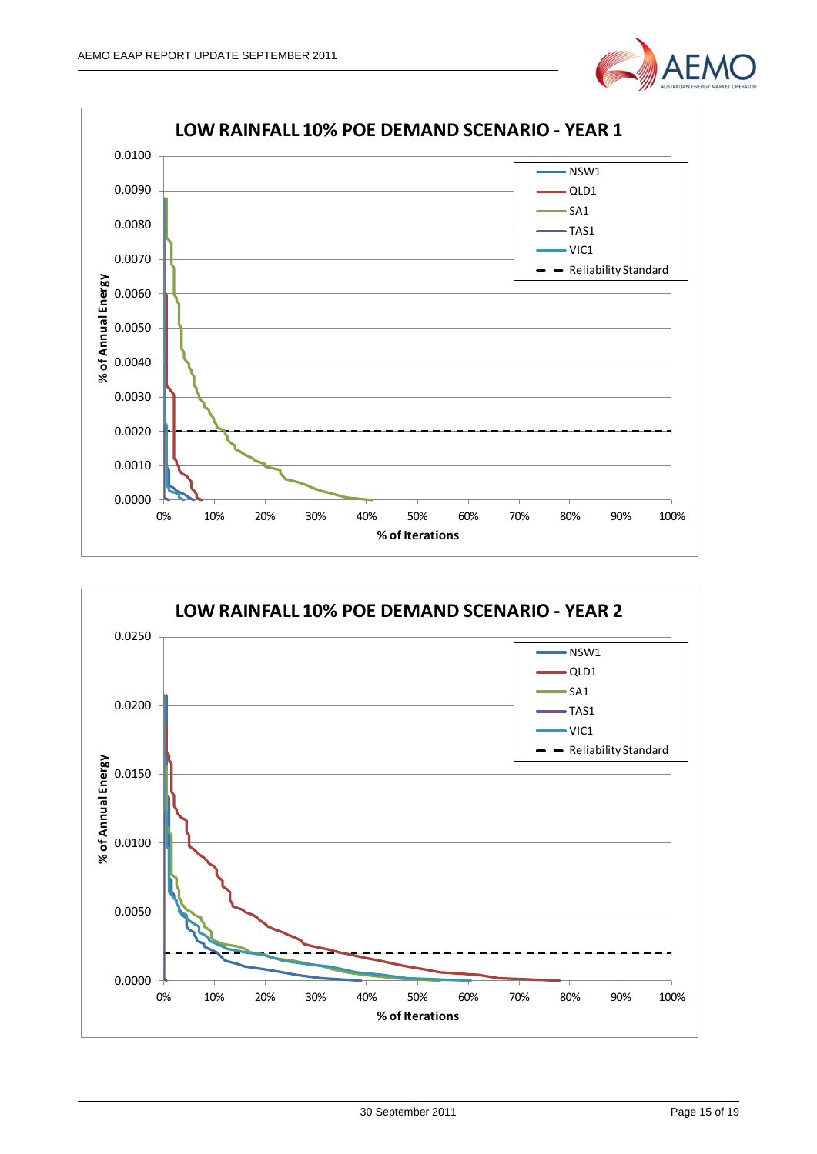



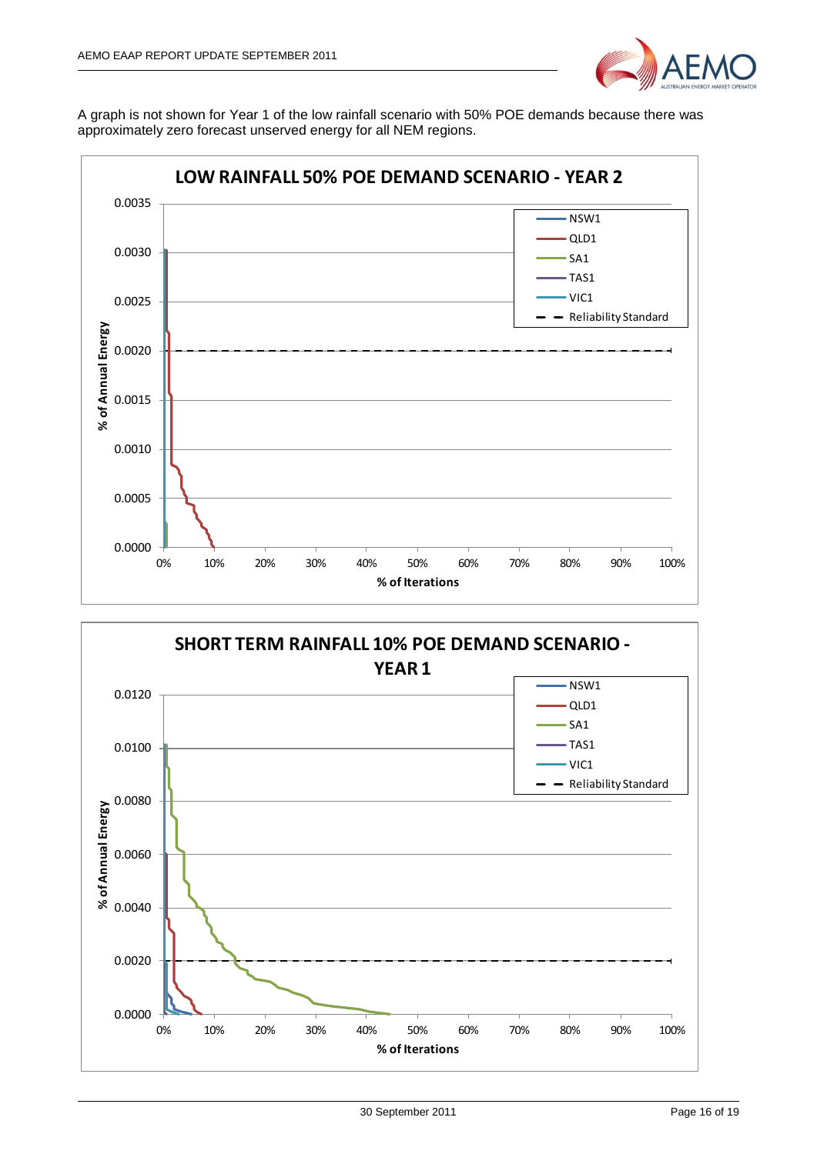

A graph is not shown for Year 1 of the low rainfall scenario with 50% POE demands because there was approximately zero forecast unserved energy for all NEM regions.



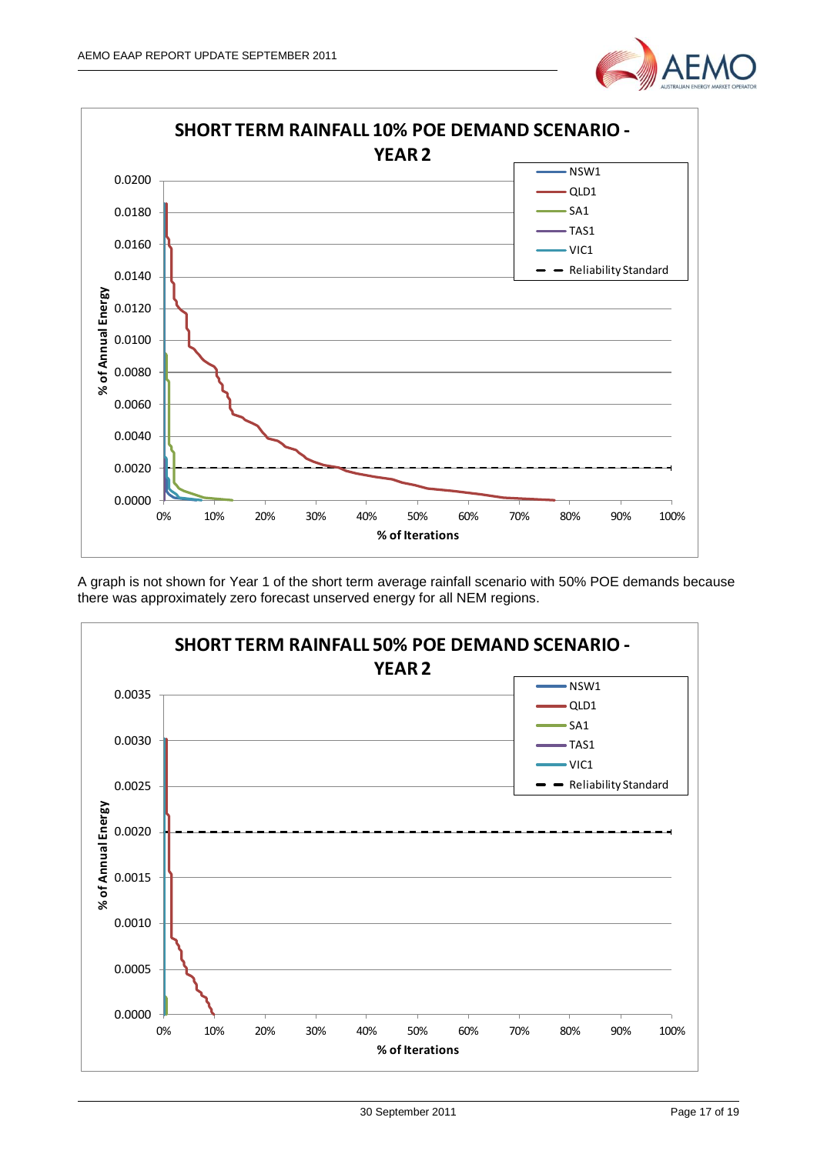



A graph is not shown for Year 1 of the short term average rainfall scenario with 50% POE demands because there was approximately zero forecast unserved energy for all NEM regions.

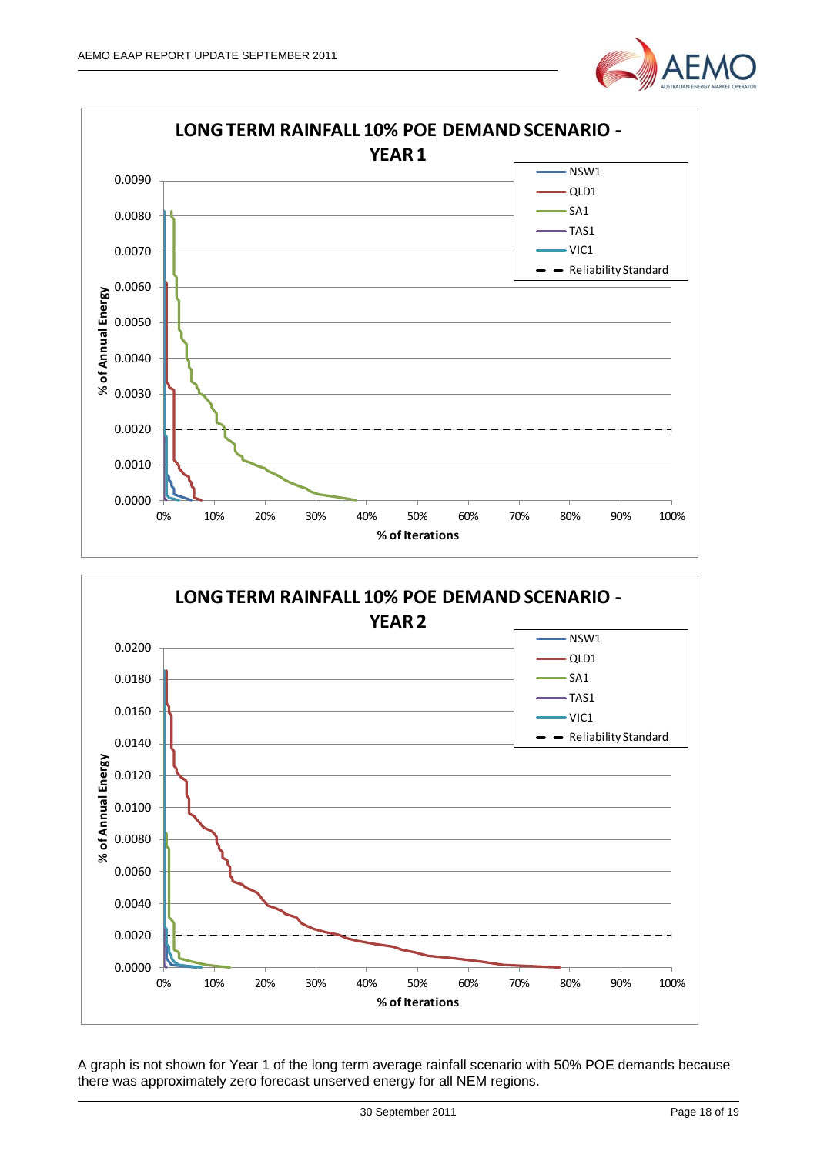





A graph is not shown for Year 1 of the long term average rainfall scenario with 50% POE demands because there was approximately zero forecast unserved energy for all NEM regions.